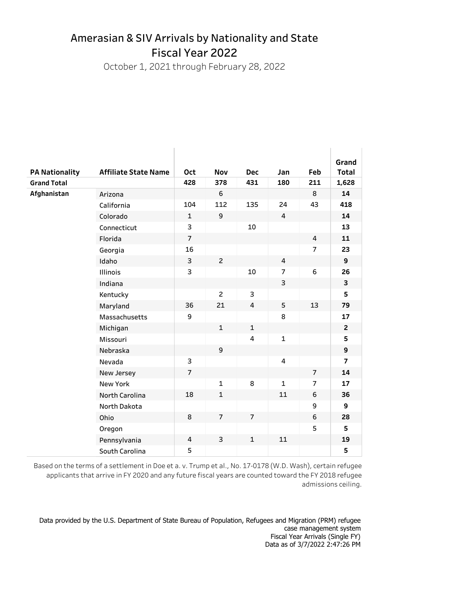## Amerasian & SIV Arrivals by Nationality and State Fiscal Year 2022

October 1, 2021 through February 28, 2022

|                       |                             |                |                |                |                |                | Grand          |
|-----------------------|-----------------------------|----------------|----------------|----------------|----------------|----------------|----------------|
| <b>PA Nationality</b> | <b>Affiliate State Name</b> | Oct            | <b>Nov</b>     | <b>Dec</b>     | Jan            | Feb            | <b>Total</b>   |
| <b>Grand Total</b>    |                             | 428            | 378            | 431            | 180            | 211            | 1,628          |
| Afghanistan           | Arizona                     |                | 6              |                |                | 8              | 14             |
|                       | California                  | 104            | 112            | 135            | 24             | 43             | 418            |
|                       | Colorado                    | $\mathbf{1}$   | 9              |                | 4              |                | 14             |
|                       | Connecticut                 | 3              |                | 10             |                |                | 13             |
|                       | Florida                     | $\overline{7}$ |                |                |                | 4              | 11             |
|                       | Georgia                     | 16             |                |                |                | $\overline{7}$ | 23             |
|                       | Idaho                       | 3              | $\overline{2}$ |                | 4              |                | 9              |
|                       | <b>Illinois</b>             | 3              |                | 10             | $\overline{7}$ | 6              | 26             |
|                       | Indiana                     |                |                |                | 3              |                | 3              |
|                       | Kentucky                    |                | $\overline{2}$ | 3              |                |                | 5              |
|                       | Maryland                    | 36             | 21             | 4              | 5              | 13             | 79             |
|                       | Massachusetts               | 9              |                |                | 8              |                | 17             |
|                       | Michigan                    |                | $\mathbf{1}$   | $\mathbf{1}$   |                |                | $\overline{2}$ |
|                       | Missouri                    |                |                | 4              | $\mathbf{1}$   |                | 5              |
|                       | Nebraska                    |                | 9              |                |                |                | 9              |
|                       | Nevada                      | 3              |                |                | 4              |                | $\overline{7}$ |
|                       | New Jersey                  | $\overline{7}$ |                |                |                | $\overline{7}$ | 14             |
|                       | <b>New York</b>             |                | $\mathbf{1}$   | 8              | $\mathbf{1}$   | $\overline{7}$ | 17             |
|                       | North Carolina              | 18             | $\mathbf{1}$   |                | 11             | 6              | 36             |
|                       | North Dakota                |                |                |                |                | 9              | 9              |
|                       | Ohio                        | 8              | $\overline{7}$ | $\overline{7}$ |                | 6              | 28             |
|                       | Oregon                      |                |                |                |                | 5              | 5              |
|                       | Pennsylvania                | 4              | 3              | $\mathbf{1}$   | 11             |                | 19             |
|                       | South Carolina              | 5              |                |                |                |                | 5              |

Based on the terms of a settlement in Doe et a. v. Trump et al., No. 17-0178 (W.D. Wash), certain refugee admissions ceiling. applicants that arrive in FY 2020 and any future fiscal years are counted toward the FY 2018 refugee

Data provided by the U.S. Department of State Bureau of Population, Refugees and Migration (PRM) refugee case management system Fiscal Year Arrivals (Single FY) Data as of 3/7/2022 2:47:26 PM